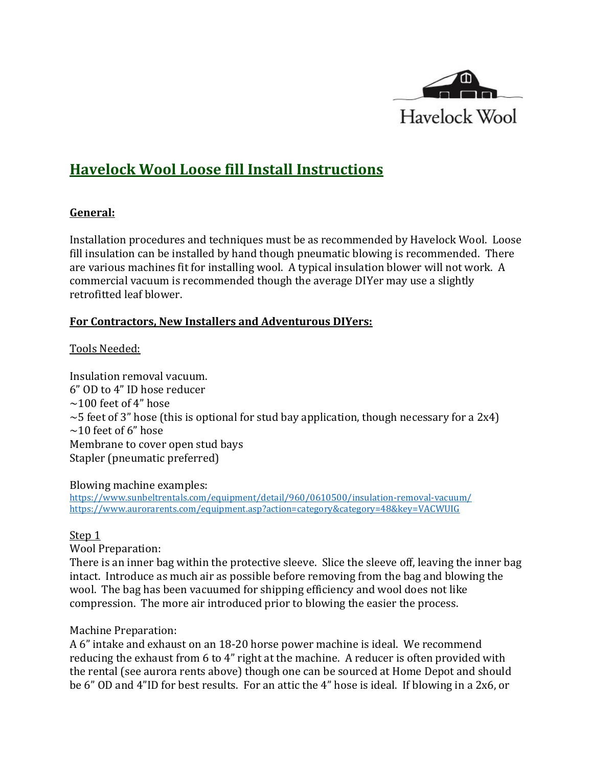

# **Havelock Wool Loose fill Install Instructions**

# **General:**

Installation procedures and techniques must be as recommended by Havelock Wool. Loose fill insulation can be installed by hand though pneumatic blowing is recommended. There are various machines fit for installing wool. A typical insulation blower will not work. A commercial vacuum is recommended though the average DIYer may use a slightly retrofitted leaf blower.

# **For Contractors, New Installers and Adventurous DIYers:**

# Tools Needed:

Insulation removal vacuum. 6" OD to 4" ID hose reducer  $\sim$ 100 feet of 4" hose  $\sim$  5 feet of 3" hose (this is optional for stud bay application, though necessary for a 2x4)  $\sim$ 10 feet of 6" hose Membrane to cover open stud bays Stapler (pneumatic preferred)

Blowing machine examples:

<https://www.sunbeltrentals.com/equipment/detail/960/0610500/insulation-removal-vacuum/> <https://www.aurorarents.com/equipment.asp?action=category&category=48&key=VACWUIG>

#### Step 1

Wool Preparation:

There is an inner bag within the protective sleeve. Slice the sleeve off, leaving the inner bag intact. Introduce as much air as possible before removing from the bag and blowing the wool. The bag has been vacuumed for shipping efficiency and wool does not like compression. The more air introduced prior to blowing the easier the process.

#### Machine Preparation:

A 6" intake and exhaust on an 18-20 horse power machine is ideal. We recommend reducing the exhaust from 6 to 4" right at the machine. A reducer is often provided with the rental (see aurora rents above) though one can be sourced at Home Depot and should be 6" OD and 4"ID for best results. For an attic the 4" hose is ideal. If blowing in a 2x6, or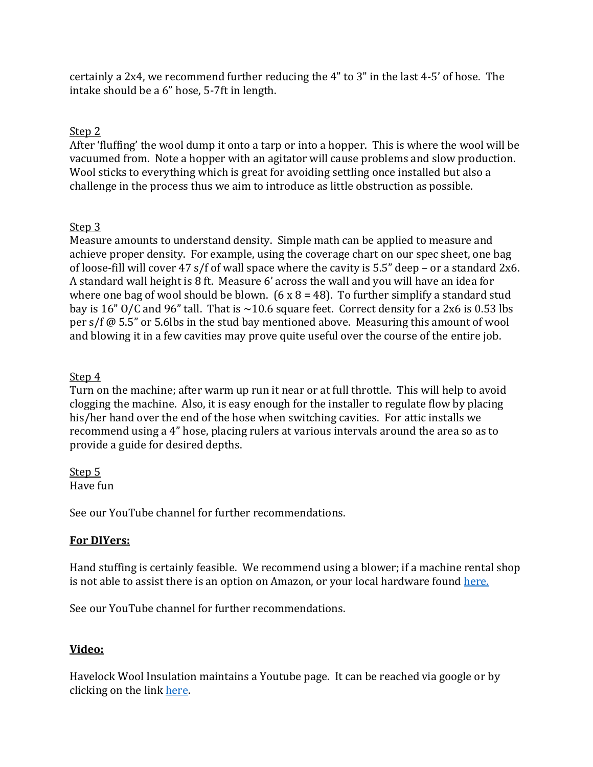certainly a 2x4, we recommend further reducing the 4" to 3" in the last 4-5' of hose. The intake should be a 6" hose, 5-7ft in length.

# Step 2

After 'fluffing' the wool dump it onto a tarp or into a hopper. This is where the wool will be vacuumed from. Note a hopper with an agitator will cause problems and slow production. Wool sticks to everything which is great for avoiding settling once installed but also a challenge in the process thus we aim to introduce as little obstruction as possible.

# Step 3

Measure amounts to understand density. Simple math can be applied to measure and achieve proper density. For example, using the coverage chart on our spec sheet, one bag of loose-fill will cover 47 s/f of wall space where the cavity is 5.5" deep – or a standard 2x6. A standard wall height is 8 ft. Measure 6' across the wall and you will have an idea for where one bag of wool should be blown.  $(6 \times 8 = 48)$ . To further simplify a standard stud bay is 16" O/C and 96" tall. That is  $\sim$ 10.6 square feet. Correct density for a 2x6 is 0.53 lbs per s/f @ 5.5" or 5.6lbs in the stud bay mentioned above. Measuring this amount of wool and blowing it in a few cavities may prove quite useful over the course of the entire job.

# Step 4

Turn on the machine; after warm up run it near or at full throttle. This will help to avoid clogging the machine. Also, it is easy enough for the installer to regulate flow by placing his/her hand over the end of the hose when switching cavities. For attic installs we recommend using a 4" hose, placing rulers at various intervals around the area so as to provide a guide for desired depths.

#### Step 5 Have fun

See our YouTube channel for further recommendations.

#### **For DIYers:**

Hand stuffing is certainly feasible. We recommend using a blower; if a machine rental shop is not able to assist there is an option on Amazon, or your local hardware found [here.](https://www.amazon.com/dp/B00FREQBXE/ref=asc_df_B00FREQBXE5364142/?tag=hyprod-20&creative=394997&creativeASIN=B00FREQBXE&linkCode=df0&hvadid=167146984279&hvpos=1o2&hvnetw=g&hvrand=290626426779604877&hvpone=&hvptwo=&hvqmt=&hvdev=c&hvdvcmdl=&hvlocint=&hvlocphy=9030871&hvtargid=pla-305360468294)

See our YouTube channel for further recommendations.

# **Video:**

Havelock Wool Insulation maintains a Youtube page. It can be reached via google or by clicking on the link [here.](https://www.youtube.com/channel/UCzJOMDbBPYbk3TUFjfyEZyg)